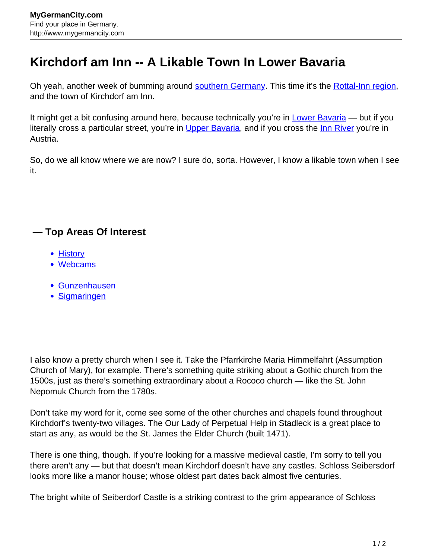## **Kirchdorf am Inn -- A Likable Town In Lower Bavaria**

Oh yeah, another week of bumming around [southern Germany](http://www.mygermancity.com/south-germany). This time it's the [Rottal-Inn region](http://www.mygermancity.com/rottal-inn-district), and the town of Kirchdorf am Inn.

It might get a bit confusing around here, because technically you're in [Lower Bavaria](http://www.mygermancity.com/lower-bavaria) — but if you literally cross a particular street, you're in [Upper Bavaria,](http://www.mygermancity.com/upper-bavaria) and if you cross the [Inn River](http://www.mygermancity.com/inn-river) you're in Austria.

So, do we all know where we are now? I sure do, sorta. However, I know a likable town when I see it.

## **— Top Areas Of Interest**

- [History](http://www.mygermancity.com/leipzig-history)
- [Webcams](http://www.mygermancity.com/neustadt-holstein-webcams)
- [Gunzenhausen](http://www.mygermancity.com/gunzenhausen)
- [Sigmaringen](http://www.mygermancity.com/sigmaringen)

I also know a pretty church when I see it. Take the Pfarrkirche Maria Himmelfahrt (Assumption Church of Mary), for example. There's something quite striking about a Gothic church from the 1500s, just as there's something extraordinary about a Rococo church — like the St. John Nepomuk Church from the 1780s.

Don't take my word for it, come see some of the other churches and chapels found throughout Kirchdorf's twenty-two villages. The Our Lady of Perpetual Help in Stadleck is a great place to start as any, as would be the St. James the Elder Church (built 1471).

There is one thing, though. If you're looking for a massive medieval castle, I'm sorry to tell you there aren't any — but that doesn't mean Kirchdorf doesn't have any castles. Schloss Seibersdorf looks more like a manor house; whose oldest part dates back almost five centuries.

The bright white of Seiberdorf Castle is a striking contrast to the grim appearance of Schloss